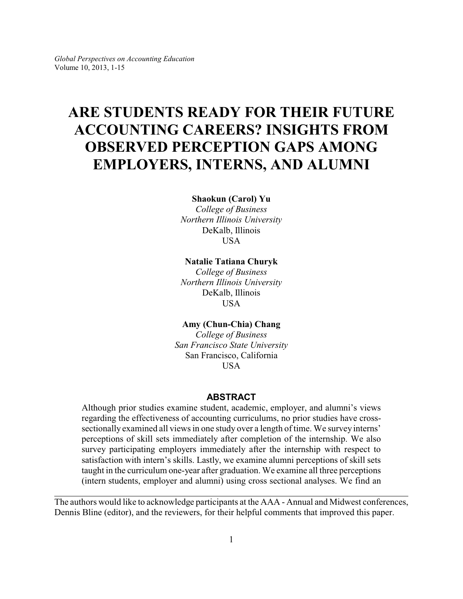# **ARE STUDENTS READY FOR THEIR FUTURE ACCOUNTING CAREERS? INSIGHTS FROM OBSERVED PERCEPTION GAPS AMONG EMPLOYERS, INTERNS, AND ALUMNI**

#### **Shaokun (Carol) Yu**

*College of Business Northern Illinois University* DeKalb, Illinois USA

## **Natalie Tatiana Churyk**

*College of Business Northern Illinois University* DeKalb, Illinois USA

# **Amy (Chun-Chia) Chang**

*College of Business San Francisco State University* San Francisco, California **USA** 

# **ABSTRACT**

Although prior studies examine student, academic, employer, and alumni's views regarding the effectiveness of accounting curriculums, no prior studies have crosssectionally examined all views in one study over a length of time. We survey interns' perceptions of skill sets immediately after completion of the internship. We also survey participating employers immediately after the internship with respect to satisfaction with intern's skills. Lastly, we examine alumni perceptions of skill sets taught in the curriculum one-year after graduation. We examine all three perceptions (intern students, employer and alumni) using cross sectional analyses. We find an

The authors would like to acknowledge participants at the AAA - Annual and Midwest conferences, Dennis Bline (editor), and the reviewers, for their helpful comments that improved this paper.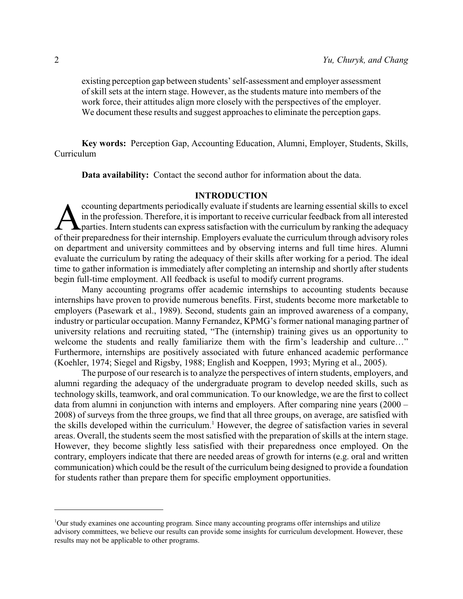existing perception gap between students' self-assessment and employer assessment of skill sets at the intern stage. However, as the students mature into members of the work force, their attitudes align more closely with the perspectives of the employer. We document these results and suggest approaches to eliminate the perception gaps.

**Key words:** Perception Gap, Accounting Education, Alumni, Employer, Students, Skills, Curriculum

**Data availability:** Contact the second author for information about the data.

# **INTRODUCTION**

counting departments periodically evaluate if students are learning essential skills to excel<br>in the profession. Therefore, it is important to receive curricular feedback from all interested<br>parties. Intern students can ex ccounting departments periodically evaluate if students are learning essential skills to excel in the profession. Therefore, it is important to receive curricular feedback from all interested  $\blacktriangle$  parties. Intern students can express satisfaction with the curriculum by ranking the adequacy on department and university committees and by observing interns and full time hires. Alumni evaluate the curriculum by rating the adequacy of their skills after working for a period. The ideal time to gather information is immediately after completing an internship and shortly after students begin full-time employment. All feedback is useful to modify current programs.

Many accounting programs offer academic internships to accounting students because internships have proven to provide numerous benefits. First, students become more marketable to employers (Pasewark et al., 1989). Second, students gain an improved awareness of a company, industry or particular occupation. Manny Fernandez, KPMG's former national managing partner of university relations and recruiting stated, "The (internship) training gives us an opportunity to welcome the students and really familiarize them with the firm's leadership and culture…" Furthermore, internships are positively associated with future enhanced academic performance (Koehler, 1974; Siegel and Rigsby, 1988; English and Koeppen, 1993; Myring et al., 2005).

The purpose of our research is to analyze the perspectives of intern students, employers, and alumni regarding the adequacy of the undergraduate program to develop needed skills, such as technology skills, teamwork, and oral communication. To our knowledge, we are the first to collect data from alumni in conjunction with interns and employers. After comparing nine years (2000 – 2008) of surveys from the three groups, we find that all three groups, on average, are satisfied with the skills developed within the curriculum.<sup>1</sup> However, the degree of satisfaction varies in several areas. Overall, the students seem the most satisfied with the preparation of skills at the intern stage. However, they become slightly less satisfied with their preparedness once employed. On the contrary, employers indicate that there are needed areas of growth for interns (e.g. oral and written communication) which could be the result of the curriculum being designed to provide a foundation for students rather than prepare them for specific employment opportunities.

<sup>1</sup>Our study examines one accounting program. Since many accounting programs offer internships and utilize advisory committees, we believe our results can provide some insights for curriculum development. However, these results may not be applicable to other programs.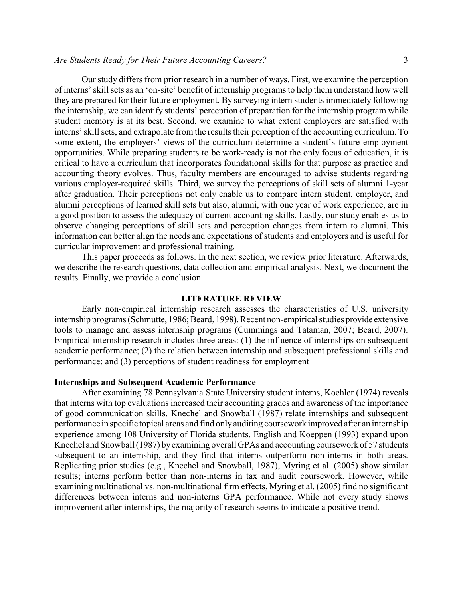Our study differs from prior research in a number of ways. First, we examine the perception of interns' skill sets as an 'on-site' benefit of internship programs to help them understand how well they are prepared for their future employment. By surveying intern students immediately following the internship, we can identify students' perception of preparation for the internship program while student memory is at its best. Second, we examine to what extent employers are satisfied with interns' skill sets, and extrapolate from the results their perception of the accounting curriculum. To some extent, the employers' views of the curriculum determine a student's future employment opportunities. While preparing students to be work-ready is not the only focus of education, it is critical to have a curriculum that incorporates foundational skills for that purpose as practice and accounting theory evolves. Thus, faculty members are encouraged to advise students regarding various employer-required skills. Third, we survey the perceptions of skill sets of alumni 1-year after graduation. Their perceptions not only enable us to compare intern student, employer, and alumni perceptions of learned skill sets but also, alumni, with one year of work experience, are in a good position to assess the adequacy of current accounting skills. Lastly, our study enables us to observe changing perceptions of skill sets and perception changes from intern to alumni. This information can better align the needs and expectations of students and employers and is useful for curricular improvement and professional training.

This paper proceeds as follows. In the next section, we review prior literature. Afterwards, we describe the research questions, data collection and empirical analysis. Next, we document the results. Finally, we provide a conclusion.

#### **LITERATURE REVIEW**

Early non-empirical internship research assesses the characteristics of U.S. university internship programs (Schmutte, 1986; Beard, 1998). Recent non-empirical studies provide extensive tools to manage and assess internship programs (Cummings and Tataman, 2007; Beard, 2007). Empirical internship research includes three areas: (1) the influence of internships on subsequent academic performance; (2) the relation between internship and subsequent professional skills and performance; and (3) perceptions of student readiness for employment

## **Internships and Subsequent Academic Performance**

After examining 78 Pennsylvania State University student interns, Koehler (1974) reveals that interns with top evaluations increased their accounting grades and awareness of the importance of good communication skills. Knechel and Snowball (1987) relate internships and subsequent performance in specific topical areas and find only auditing coursework improved after an internship experience among 108 University of Florida students. English and Koeppen (1993) expand upon Knechel and Snowball (1987) byexamining overall GPAs and accounting coursework of 57 students subsequent to an internship, and they find that interns outperform non-interns in both areas. Replicating prior studies (e.g., Knechel and Snowball, 1987), Myring et al. (2005) show similar results; interns perform better than non-interns in tax and audit coursework. However, while examining multinational vs. non-multinational firm effects, Myring et al. (2005) find no significant differences between interns and non-interns GPA performance. While not every study shows improvement after internships, the majority of research seems to indicate a positive trend.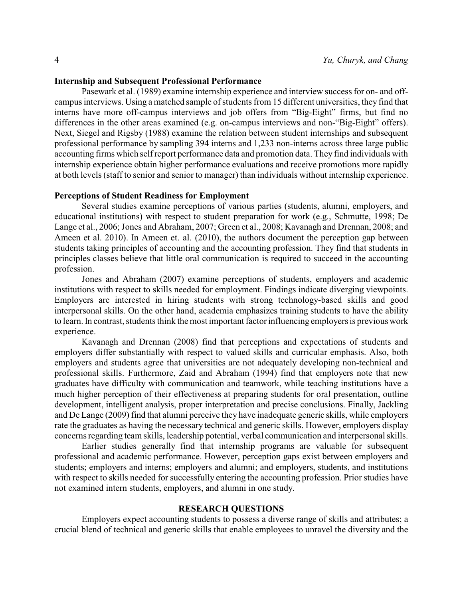## **Internship and Subsequent Professional Performance**

Pasewark et al. (1989) examine internship experience and interview success for on- and offcampus interviews. Using a matched sample of students from 15 different universities, they find that interns have more off-campus interviews and job offers from "Big-Eight" firms, but find no differences in the other areas examined (e.g. on-campus interviews and non-"Big-Eight" offers). Next, Siegel and Rigsby (1988) examine the relation between student internships and subsequent professional performance by sampling 394 interns and 1,233 non-interns across three large public accounting firms which self report performance data and promotion data. They find individuals with internship experience obtain higher performance evaluations and receive promotions more rapidly at both levels (staff to senior and senior to manager) than individuals without internship experience.

## **Perceptions of Student Readiness for Employment**

Several studies examine perceptions of various parties (students, alumni, employers, and educational institutions) with respect to student preparation for work (e.g., Schmutte, 1998; De Lange et al., 2006; Jones and Abraham, 2007; Green et al., 2008; Kavanagh and Drennan, 2008; and Ameen et al. 2010). In Ameen et. al. (2010), the authors document the perception gap between students taking principles of accounting and the accounting profession. They find that students in principles classes believe that little oral communication is required to succeed in the accounting profession.

Jones and Abraham (2007) examine perceptions of students, employers and academic institutions with respect to skills needed for employment. Findings indicate diverging viewpoints. Employers are interested in hiring students with strong technology-based skills and good interpersonal skills. On the other hand, academia emphasizes training students to have the ability to learn. In contrast, students think the most important factor influencing employers is previous work experience.

Kavanagh and Drennan (2008) find that perceptions and expectations of students and employers differ substantially with respect to valued skills and curricular emphasis. Also, both employers and students agree that universities are not adequately developing non-technical and professional skills. Furthermore, Zaid and Abraham (1994) find that employers note that new graduates have difficulty with communication and teamwork, while teaching institutions have a much higher perception of their effectiveness at preparing students for oral presentation, outline development, intelligent analysis, proper interpretation and precise conclusions. Finally, Jackling and De Lange (2009) find that alumni perceive they have inadequate generic skills, while employers rate the graduates as having the necessary technical and generic skills. However, employers display concerns regarding team skills, leadership potential, verbal communication and interpersonal skills.

Earlier studies generally find that internship programs are valuable for subsequent professional and academic performance. However, perception gaps exist between employers and students; employers and interns; employers and alumni; and employers, students, and institutions with respect to skills needed for successfully entering the accounting profession. Prior studies have not examined intern students, employers, and alumni in one study.

#### **RESEARCH QUESTIONS**

Employers expect accounting students to possess a diverse range of skills and attributes; a crucial blend of technical and generic skills that enable employees to unravel the diversity and the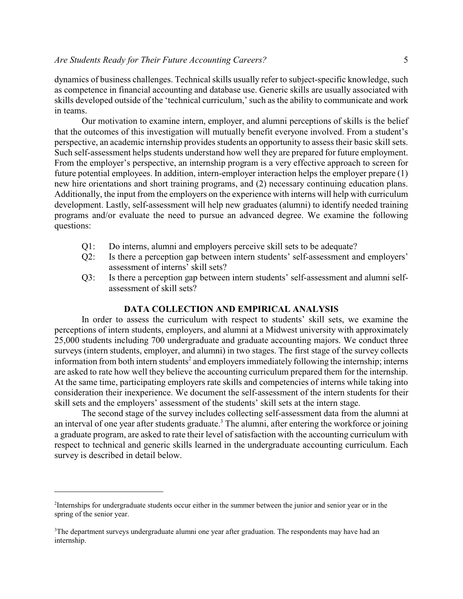dynamics of business challenges. Technical skills usually refer to subject-specific knowledge, such as competence in financial accounting and database use. Generic skills are usually associated with skills developed outside of the 'technical curriculum,' such as the ability to communicate and work in teams.

Our motivation to examine intern, employer, and alumni perceptions of skills is the belief that the outcomes of this investigation will mutually benefit everyone involved. From a student's perspective, an academic internship provides students an opportunity to assess their basic skill sets. Such self-assessment helps students understand how well they are prepared for future employment. From the employer's perspective, an internship program is a very effective approach to screen for future potential employees. In addition, intern-employer interaction helps the employer prepare (1) new hire orientations and short training programs, and (2) necessary continuing education plans. Additionally, the input from the employers on the experience with interns will help with curriculum development. Lastly, self-assessment will help new graduates (alumni) to identify needed training programs and/or evaluate the need to pursue an advanced degree. We examine the following questions:

- Q1: Do interns, alumni and employers perceive skill sets to be adequate?
- Q2: Is there a perception gap between intern students' self-assessment and employers' assessment of interns' skill sets?
- Q3: Is there a perception gap between intern students' self-assessment and alumni selfassessment of skill sets?

## **DATA COLLECTION AND EMPIRICAL ANALYSIS**

In order to assess the curriculum with respect to students' skill sets, we examine the perceptions of intern students, employers, and alumni at a Midwest university with approximately 25,000 students including 700 undergraduate and graduate accounting majors. We conduct three surveys (intern students, employer, and alumni) in two stages. The first stage of the survey collects information from both intern students<sup>2</sup> and employers immediately following the internship; interns are asked to rate how well they believe the accounting curriculum prepared them for the internship. At the same time, participating employers rate skills and competencies of interns while taking into consideration their inexperience. We document the self-assessment of the intern students for their skill sets and the employers' assessment of the students' skill sets at the intern stage.

The second stage of the survey includes collecting self-assessment data from the alumni at an interval of one year after students graduate.<sup>3</sup> The alumni, after entering the workforce or joining a graduate program, are asked to rate their level of satisfaction with the accounting curriculum with respect to technical and generic skills learned in the undergraduate accounting curriculum. Each survey is described in detail below.

<sup>&</sup>lt;sup>2</sup>Internships for undergraduate students occur either in the summer between the junior and senior year or in the spring of the senior year.

<sup>&</sup>lt;sup>3</sup>The department surveys undergraduate alumni one year after graduation. The respondents may have had an internship.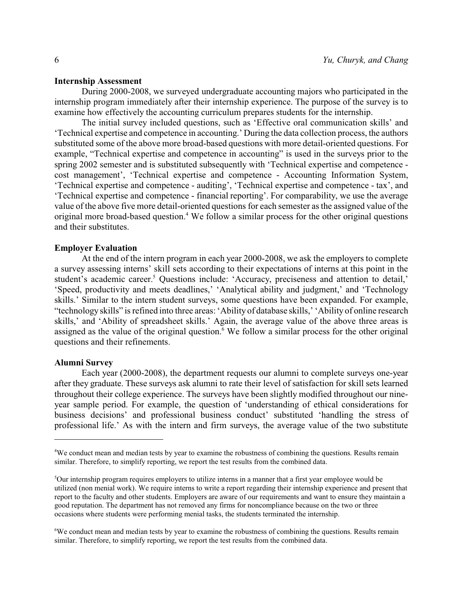## **Internship Assessment**

During 2000-2008, we surveyed undergraduate accounting majors who participated in the internship program immediately after their internship experience. The purpose of the survey is to examine how effectively the accounting curriculum prepares students for the internship.

The initial survey included questions, such as 'Effective oral communication skills' and 'Technical expertise and competence in accounting.' During the data collection process, the authors substituted some of the above more broad-based questions with more detail-oriented questions. For example, "Technical expertise and competence in accounting" is used in the surveys prior to the spring 2002 semester and is substituted subsequently with 'Technical expertise and competence cost management', 'Technical expertise and competence - Accounting Information System, 'Technical expertise and competence - auditing', 'Technical expertise and competence - tax', and 'Technical expertise and competence - financial reporting'. For comparability, we use the average value of the above five more detail-oriented questions for each semester as the assigned value of the original more broad-based question.<sup>4</sup> We follow a similar process for the other original questions and their substitutes.

#### **Employer Evaluation**

At the end of the intern program in each year 2000-2008, we ask the employers to complete a survey assessing interns' skill sets according to their expectations of interns at this point in the student's academic career.<sup>5</sup> Questions include: 'Accuracy, preciseness and attention to detail,' 'Speed, productivity and meets deadlines,' 'Analytical ability and judgment,' and 'Technology skills.' Similar to the intern student surveys, some questions have been expanded. For example, "technology skills" is refined into three areas: 'Ability of database skills,' 'Ability of online research skills,' and 'Ability of spreadsheet skills.' Again, the average value of the above three areas is assigned as the value of the original question.<sup>6</sup> We follow a similar process for the other original questions and their refinements.

#### **Alumni Survey**

Each year (2000-2008), the department requests our alumni to complete surveys one-year after they graduate. These surveys ask alumni to rate their level of satisfaction for skill sets learned throughout their college experience. The surveys have been slightly modified throughout our nineyear sample period. For example, the question of 'understanding of ethical considerations for business decisions' and professional business conduct' substituted 'handling the stress of professional life.' As with the intern and firm surveys, the average value of the two substitute

<sup>4</sup>We conduct mean and median tests by year to examine the robustness of combining the questions. Results remain similar. Therefore, to simplify reporting, we report the test results from the combined data.

<sup>5</sup>Our internship program requires employers to utilize interns in a manner that a first year employee would be utilized (non menial work). We require interns to write a report regarding their internship experience and present that report to the faculty and other students. Employers are aware of our requirements and want to ensure they maintain a good reputation. The department has not removed any firms for noncompliance because on the two or three occasions where students were performing menial tasks, the students terminated the internship.

<sup>6</sup>We conduct mean and median tests by year to examine the robustness of combining the questions. Results remain similar. Therefore, to simplify reporting, we report the test results from the combined data.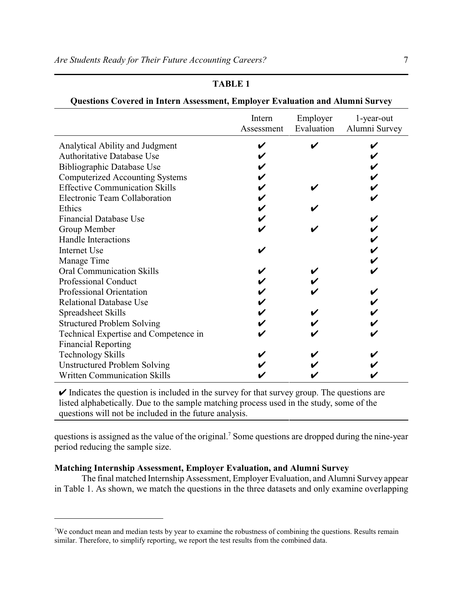# **TABLE 1**

|                                        | Intern<br>Assessment | Employer<br>Evaluation | 1-year-out<br>Alumni Survey |
|----------------------------------------|----------------------|------------------------|-----------------------------|
| Analytical Ability and Judgment        |                      |                        |                             |
| <b>Authoritative Database Use</b>      |                      |                        |                             |
| Bibliographic Database Use             |                      |                        |                             |
| <b>Computerized Accounting Systems</b> |                      |                        |                             |
| <b>Effective Communication Skills</b>  |                      |                        |                             |
| Electronic Team Collaboration          |                      |                        |                             |
| Ethics                                 |                      |                        |                             |
| <b>Financial Database Use</b>          |                      |                        |                             |
| Group Member                           |                      |                        |                             |
| <b>Handle Interactions</b>             |                      |                        |                             |
| <b>Internet Use</b>                    |                      |                        |                             |
| Manage Time                            |                      |                        |                             |
| <b>Oral Communication Skills</b>       |                      |                        |                             |
| Professional Conduct                   |                      |                        |                             |
| Professional Orientation               |                      |                        |                             |
| <b>Relational Database Use</b>         |                      |                        |                             |
| Spreadsheet Skills                     |                      |                        |                             |
| <b>Structured Problem Solving</b>      |                      |                        |                             |
| Technical Expertise and Competence in  |                      |                        |                             |
| <b>Financial Reporting</b>             |                      |                        |                             |
| <b>Technology Skills</b>               |                      |                        |                             |
| <b>Unstructured Problem Solving</b>    |                      |                        |                             |
| <b>Written Communication Skills</b>    |                      |                        |                             |

| Questions Covered in Intern Assessment, Employer Evaluation and Alumni Survey |  |  |  |
|-------------------------------------------------------------------------------|--|--|--|
|-------------------------------------------------------------------------------|--|--|--|

 $\triangleright$  Indicates the question is included in the survey for that survey group. The questions are listed alphabetically. Due to the sample matching process used in the study, some of the questions will not be included in the future analysis.

questions is assigned as the value of the original.<sup>7</sup> Some questions are dropped during the nine-year period reducing the sample size.

# **Matching Internship Assessment, Employer Evaluation, and Alumni Survey**

The final matched Internship Assessment, Employer Evaluation, and Alumni Survey appear in Table 1. As shown, we match the questions in the three datasets and only examine overlapping

<sup>&</sup>lt;sup>7</sup>We conduct mean and median tests by year to examine the robustness of combining the questions. Results remain similar. Therefore, to simplify reporting, we report the test results from the combined data.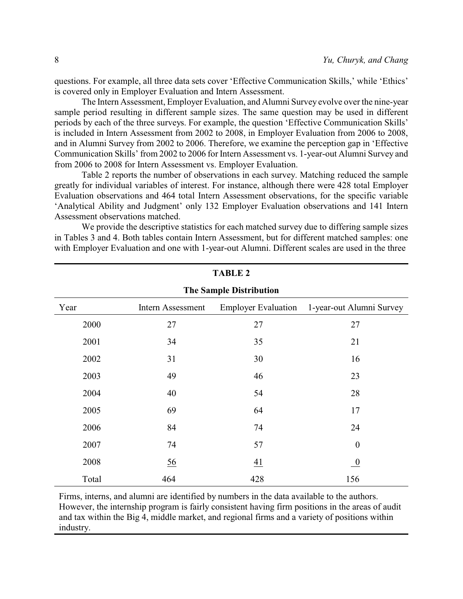questions. For example, all three data sets cover 'Effective Communication Skills,' while 'Ethics' is covered only in Employer Evaluation and Intern Assessment.

The Intern Assessment, Employer Evaluation, and Alumni Survey evolve over the nine-year sample period resulting in different sample sizes. The same question may be used in different periods by each of the three surveys. For example, the question 'Effective Communication Skills' is included in Intern Assessment from 2002 to 2008, in Employer Evaluation from 2006 to 2008, and in Alumni Survey from 2002 to 2006. Therefore, we examine the perception gap in 'Effective Communication Skills' from 2002 to 2006 for Intern Assessment vs. 1-year-out Alumni Survey and from 2006 to 2008 for Intern Assessment vs. Employer Evaluation.

Table 2 reports the number of observations in each survey. Matching reduced the sample greatly for individual variables of interest. For instance, although there were 428 total Employer Evaluation observations and 464 total Intern Assessment observations, for the specific variable 'Analytical Ability and Judgment' only 132 Employer Evaluation observations and 141 Intern Assessment observations matched.

We provide the descriptive statistics for each matched survey due to differing sample sizes in Tables 3 and 4. Both tables contain Intern Assessment, but for different matched samples: one with Employer Evaluation and one with 1-year-out Alumni. Different scales are used in the three

| <b>The Sample Distribution</b> |                   |                            |                          |  |  |  |  |
|--------------------------------|-------------------|----------------------------|--------------------------|--|--|--|--|
| Year                           | Intern Assessment | <b>Employer Evaluation</b> | 1-year-out Alumni Survey |  |  |  |  |
| 2000                           | 27                | 27                         | 27                       |  |  |  |  |
| 2001                           | 34                | 35                         | 21                       |  |  |  |  |
| 2002                           | 31                | 30                         | 16                       |  |  |  |  |
| 2003                           | 49                | 46                         | 23                       |  |  |  |  |
| 2004                           | 40                | 54                         | 28                       |  |  |  |  |
| 2005                           | 69                | 64                         | 17                       |  |  |  |  |
| 2006                           | 84                | 74                         | 24                       |  |  |  |  |
| 2007                           | 74                | 57                         | $\boldsymbol{0}$         |  |  |  |  |
| 2008                           | 56                | 41                         | $\bf{0}$                 |  |  |  |  |
| Total                          | 464               | 428                        | 156                      |  |  |  |  |

**TABLE 2**

Firms, interns, and alumni are identified by numbers in the data available to the authors. However, the internship program is fairly consistent having firm positions in the areas of audit and tax within the Big 4, middle market, and regional firms and a variety of positions within industry.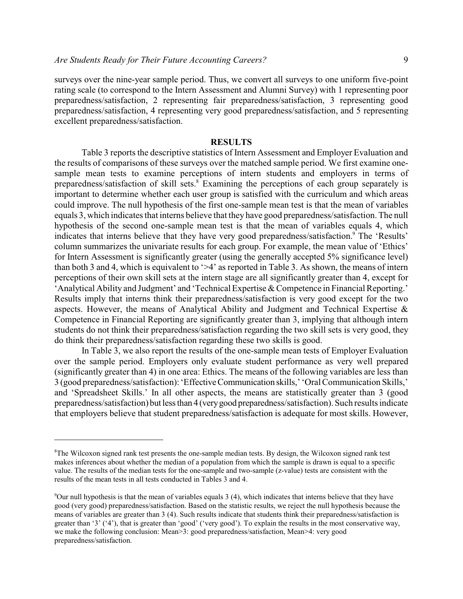surveys over the nine-year sample period. Thus, we convert all surveys to one uniform five-point rating scale (to correspond to the Intern Assessment and Alumni Survey) with 1 representing poor preparedness/satisfaction, 2 representing fair preparedness/satisfaction, 3 representing good preparedness/satisfaction, 4 representing very good preparedness/satisfaction, and 5 representing excellent preparedness/satisfaction.

#### **RESULTS**

Table 3 reports the descriptive statistics of Intern Assessment and Employer Evaluation and the results of comparisons of these surveys over the matched sample period. We first examine onesample mean tests to examine perceptions of intern students and employers in terms of preparedness/satisfaction of skill sets.<sup>8</sup> Examining the perceptions of each group separately is important to determine whether each user group is satisfied with the curriculum and which areas could improve. The null hypothesis of the first one-sample mean test is that the mean of variables equals 3, which indicates that interns believe that they have good preparedness/satisfaction. The null hypothesis of the second one-sample mean test is that the mean of variables equals 4, which indicates that interns believe that they have very good preparedness/satisfaction.<sup>9</sup> The 'Results' column summarizes the univariate results for each group. For example, the mean value of 'Ethics' for Intern Assessment is significantly greater (using the generally accepted 5% significance level) than both 3 and 4, which is equivalent to '>4' as reported in Table 3. As shown, the means of intern perceptions of their own skill sets at the intern stage are all significantly greater than 4, except for 'Analytical Ability and Judgment' and 'Technical Expertise & Competence in Financial Reporting.' Results imply that interns think their preparedness/satisfaction is very good except for the two aspects. However, the means of Analytical Ability and Judgment and Technical Expertise & Competence in Financial Reporting are significantly greater than 3, implying that although intern students do not think their preparedness/satisfaction regarding the two skill sets is very good, they do think their preparedness/satisfaction regarding these two skills is good.

In Table 3, we also report the results of the one-sample mean tests of Employer Evaluation over the sample period. Employers only evaluate student performance as very well prepared (significantly greater than 4) in one area: Ethics. The means of the following variables are less than 3 (good preparedness/satisfaction): 'EffectiveCommunication skills,' 'Oral Communication Skills,' and 'Spreadsheet Skills.' In all other aspects, the means are statistically greater than 3 (good preparedness/satisfaction) but lessthan 4 (verygood preparedness/satisfaction). Such results indicate that employers believe that student preparedness/satisfaction is adequate for most skills. However,

<sup>8</sup>The Wilcoxon signed rank test presents the one-sample median tests. By design, the Wilcoxon signed rank test makes inferences about whether the median of a population from which the sample is drawn is equal to a specific value. The results of the median tests for the one-sample and two-sample (z-value) tests are consistent with the results of the mean tests in all tests conducted in Tables 3 and 4.

<sup>9</sup>Our null hypothesis is that the mean of variables equals 3 (4), which indicates that interns believe that they have good (very good) preparedness/satisfaction. Based on the statistic results, we reject the null hypothesis because the means of variables are greater than 3 (4). Such results indicate that students think their preparedness/satisfaction is greater than '3' ('4'), that is greater than 'good' ('very good'). To explain the results in the most conservative way, we make the following conclusion: Mean>3: good preparedness/satisfaction, Mean>4: very good preparedness/satisfaction.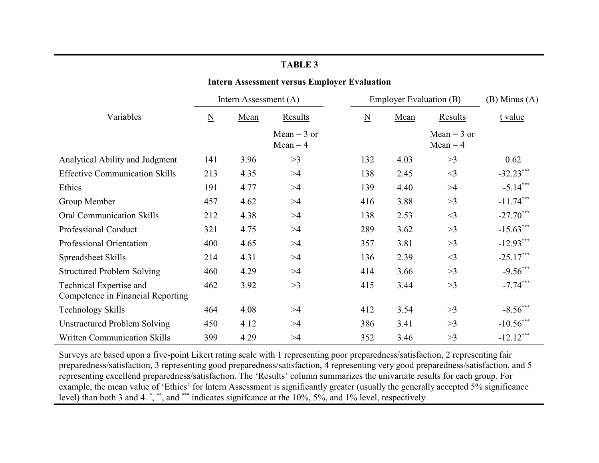## **Intern Assessment versus Employer Evaluation**

|                                                              | Intern Assessment (A)    |      | <b>Employer Evaluation (B)</b>         |                          |      | $(B)$ Minus $(A)$                      |             |
|--------------------------------------------------------------|--------------------------|------|----------------------------------------|--------------------------|------|----------------------------------------|-------------|
| Variables                                                    | $\underline{\mathbf{N}}$ | Mean | Results<br>Mean = $3$ or<br>$Mean = 4$ | $\underline{\mathbf{N}}$ | Mean | Results<br>Mean = $3$ or<br>$Mean = 4$ | t value     |
|                                                              |                          |      |                                        |                          |      |                                        |             |
| Analytical Ability and Judgment                              | 141                      | 3.96 | >3                                     | 132                      | 4.03 | >3                                     | 0.62        |
| <b>Effective Communication Skills</b>                        | 213                      | 4.35 | >4                                     | 138                      | 2.45 | $<$ 3                                  | $-32.23***$ |
| Ethics                                                       | 191                      | 4.77 | >4                                     | 139                      | 4.40 | >4                                     | $-5.14***$  |
| Group Member                                                 | 457                      | 4.62 | >4                                     | 416                      | 3.88 | >3                                     | $-11.74***$ |
| <b>Oral Communication Skills</b>                             | 212                      | 4.38 | >4                                     | 138                      | 2.53 | $<$ 3                                  | $-27.70***$ |
| <b>Professional Conduct</b>                                  | 321                      | 4.75 | >4                                     | 289                      | 3.62 | >3                                     | $-15.63***$ |
| <b>Professional Orientation</b>                              | 400                      | 4.65 | >4                                     | 357                      | 3.81 | >3                                     | $-12.93***$ |
| Spreadsheet Skills                                           | 214                      | 4.31 | >4                                     | 136                      | 2.39 | $\leq$ 3                               | $-25.17***$ |
| <b>Structured Problem Solving</b>                            | 460                      | 4.29 | >4                                     | 414                      | 3.66 | >3                                     | $-9.56***$  |
| Technical Expertise and<br>Competence in Financial Reporting | 462                      | 3.92 | >3                                     | 415                      | 3.44 | >3                                     | $-7.74***$  |
| Technology Skills                                            | 464                      | 4.08 | >4                                     | 412                      | 3.54 | >3                                     | $-8.56***$  |
| <b>Unstructured Problem Solving</b>                          | 450                      | 4.12 | >4                                     | 386                      | 3.41 | >3                                     | $-10.56***$ |
| <b>Written Communication Skills</b>                          | 399                      | 4.29 | >4                                     | 352                      | 3.46 | >3                                     | $-12.12***$ |

Surveys are based upon a five-point Likert rating scale with 1 representing poor preparedness/satisfaction, 2 representing fair preparedness/satisfaction, 3 representing good preparedness/satisfaction, 4 representing very good preparedness/satisfaction, and 5 representing excellend preparedness/satisfaction. The 'Results' column summarizes the univariate results for each group. For example, the mean value of 'Ethics' for Intern Assessment is significantly greater (usually the generally accepted 5% significance level) than both 3 and 4. ", "", and """ indicates signifcance at the 10%, 5%, and 1% level, respectively.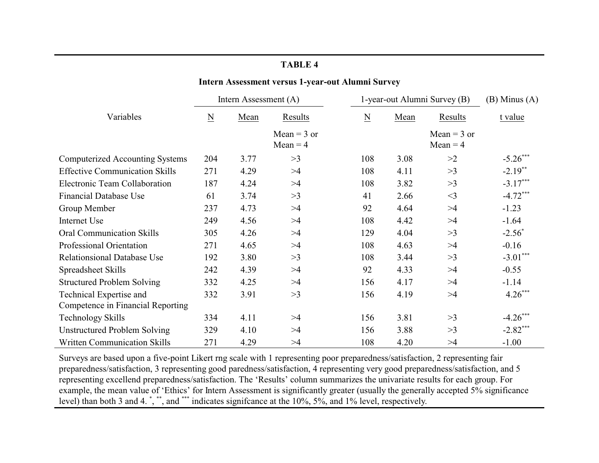|                                        |                          | писти Assessment versus 1-year-out Alumni Survey |                             |                              |      |                             |                   |
|----------------------------------------|--------------------------|--------------------------------------------------|-----------------------------|------------------------------|------|-----------------------------|-------------------|
|                                        | Intern Assessment (A)    |                                                  |                             | 1-year-out Alumni Survey (B) |      |                             | $(B)$ Minus $(A)$ |
| Variables                              | $\underline{\mathbf{N}}$ | Mean                                             | Results                     | $\underline{\mathbf{N}}$     | Mean | Results                     | t value           |
|                                        |                          |                                                  | Mean = $3$ or<br>$Mean = 4$ |                              |      | Mean = $3$ or<br>$Mean = 4$ |                   |
| <b>Computerized Accounting Systems</b> | 204                      | 3.77                                             | >3                          | 108                          | 3.08 | >2                          | $-5.26***$        |
| <b>Effective Communication Skills</b>  | 271                      | 4.29                                             | >4                          | 108                          | 4.11 | >3                          | $-2.19$ **        |
| Electronic Team Collaboration          | 187                      | 4.24                                             | >4                          | 108                          | 3.82 | >3                          | $-3.17***$        |
| <b>Financial Database Use</b>          | 61                       | 3.74                                             | >3                          | 41                           | 2.66 | $<$ 3                       | $-4.72***$        |
| Group Member                           | 237                      | 4.73                                             | >4                          | 92                           | 4.64 | >4                          | $-1.23$           |
| Internet Use                           | 249                      | 4.56                                             | >4                          | 108                          | 4.42 | >4                          | $-1.64$           |
| <b>Oral Communication Skills</b>       | 305                      | 4.26                                             | >4                          | 129                          | 4.04 | >3                          | $-2.56^*$         |
| Professional Orientation               | 271                      | 4.65                                             | >4                          | 108                          | 4.63 | >4                          | $-0.16$           |
| <b>Relationsional Database Use</b>     | 192                      | 3.80                                             | >3                          | 108                          | 3.44 | >3                          | $-3.01***$        |
| Spreadsheet Skills                     | 242                      | 4.39                                             | >4                          | 92                           | 4.33 | >4                          | $-0.55$           |
| <b>Structured Problem Solving</b>      | 332                      | 4.25                                             | >4                          | 156                          | 4.17 | >4                          | $-1.14$           |
| Technical Expertise and                | 332                      | 3.91                                             | >3                          | 156                          | 4.19 | >4                          | $4.26***$         |
| Competence in Financial Reporting      |                          |                                                  |                             |                              |      |                             |                   |
| <b>Technology Skills</b>               | 334                      | 4.11                                             | >4                          | 156                          | 3.81 | >3                          | $-4.26***$        |
| Unstructured Problem Solving           | 329                      | 4.10                                             | >4                          | 156                          | 3.88 | >3                          | $-2.82***$        |
| <b>Written Communication Skills</b>    | 271                      | 4.29                                             | >4                          | 108                          | 4.20 | >4                          | $-1.00$           |

Surveys are based upon a five-point Likert rng scale with 1 representing poor preparedness/satisfaction, 2 representing fair preparedness/satisfaction, 3 representing good paredness/satisfaction, 4 representing very good preparedness/satisfaction, and 5 representing excellend preparedness/satisfaction. The 'Results' column summarizes the univariate results for each group. For example, the mean value of 'Ethics' for Intern Assessment is significantly greater (usually the generally accepted 5% significance level) than both 3 and 4. ", "", and ""\* indicates signifcance at the 10%, 5%, and 1% level, respectively.

# **TABLE 4**

**Intern Assessment versus 1-year-out Alumni Survey**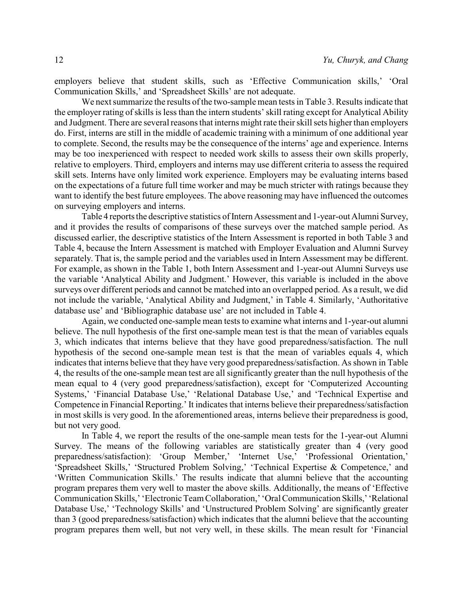employers believe that student skills, such as 'Effective Communication skills,' 'Oral Communication Skills,' and 'Spreadsheet Skills' are not adequate.

We next summarize the results of the two-sample mean tests in Table 3. Results indicate that the employer rating of skills is less than the intern students' skill rating except for Analytical Ability and Judgment. There are several reasons that interns might rate their skill sets higher than employers do. First, interns are still in the middle of academic training with a minimum of one additional year to complete. Second, the results may be the consequence of the interns' age and experience. Interns may be too inexperienced with respect to needed work skills to assess their own skills properly, relative to employers. Third, employers and interns may use different criteria to assess the required skill sets. Interns have only limited work experience. Employers may be evaluating interns based on the expectations of a future full time worker and may be much stricter with ratings because they want to identify the best future employees. The above reasoning may have influenced the outcomes on surveying employers and interns.

Table 4 reports the descriptive statistics of Intern Assessment and 1-year-out Alumni Survey, and it provides the results of comparisons of these surveys over the matched sample period. As discussed earlier, the descriptive statistics of the Intern Assessment is reported in both Table 3 and Table 4, because the Intern Assessment is matched with Employer Evaluation and Alumni Survey separately. That is, the sample period and the variables used in Intern Assessment may be different. For example, as shown in the Table 1, both Intern Assessment and 1-year-out Alumni Surveys use the variable 'Analytical Ability and Judgment.' However, this variable is included in the above surveys over different periods and cannot be matched into an overlapped period. As a result, we did not include the variable, 'Analytical Ability and Judgment,' in Table 4. Similarly, 'Authoritative database use' and 'Bibliographic database use' are not included in Table 4.

Again, we conducted one-sample mean tests to examine what interns and 1-year-out alumni believe. The null hypothesis of the first one-sample mean test is that the mean of variables equals 3, which indicates that interns believe that they have good preparedness/satisfaction. The null hypothesis of the second one-sample mean test is that the mean of variables equals 4, which indicates that interns believe that they have very good preparedness/satisfaction. As shown in Table 4, the results of the one-sample mean test are all significantly greater than the null hypothesis of the mean equal to 4 (very good preparedness/satisfaction), except for 'Computerized Accounting Systems,' 'Financial Database Use,' 'Relational Database Use,' and 'Technical Expertise and Competence in Financial Reporting.' It indicates that interns believe their preparedness/satisfaction in most skills is very good. In the aforementioned areas, interns believe their preparedness is good, but not very good.

In Table 4, we report the results of the one-sample mean tests for the 1-year-out Alumni Survey. The means of the following variables are statistically greater than 4 (very good preparedness/satisfaction): 'Group Member,' 'Internet Use,' 'Professional Orientation,' 'Spreadsheet Skills,' 'Structured Problem Solving,' 'Technical Expertise & Competence,' and 'Written Communication Skills.' The results indicate that alumni believe that the accounting program prepares them very well to master the above skills. Additionally, the means of 'Effective Communication Skills,' 'Electronic Team Collaboration,' 'Oral Communication Skills,''Relational Database Use,' 'Technology Skills' and 'Unstructured Problem Solving' are significantly greater than 3 (good preparedness/satisfaction) which indicates that the alumni believe that the accounting program prepares them well, but not very well, in these skills. The mean result for 'Financial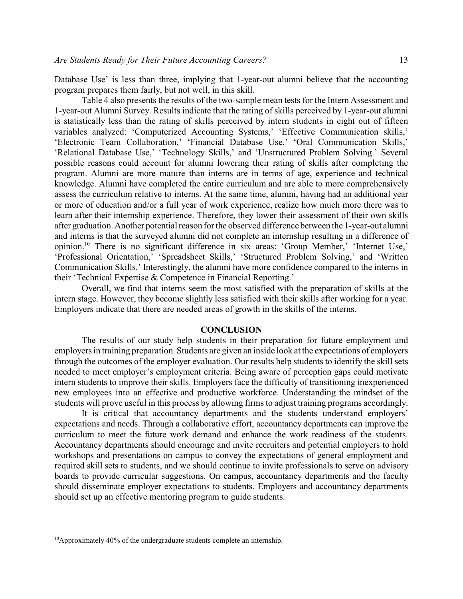Database Use' is less than three, implying that 1-year-out alumni believe that the accounting program prepares them fairly, but not well, in this skill.

Table 4 also presents the results of the two-sample mean tests for the Intern Assessment and 1-year-out Alumni Survey. Results indicate that the rating of skills perceived by 1-year-out alumni is statistically less than the rating of skills perceived by intern students in eight out of fifteen variables analyzed: 'Computerized Accounting Systems,' 'Effective Communication skills,' 'Electronic Team Collaboration,' 'Financial Database Use,' 'Oral Communication Skills,' 'Relational Database Use,' 'Technology Skills,' and 'Unstructured Problem Solving.' Several possible reasons could account for alumni lowering their rating of skills after completing the program. Alumni are more mature than interns are in terms of age, experience and technical knowledge. Alumni have completed the entire curriculum and are able to more comprehensively assess the curriculum relative to interns. At the same time, alumni, having had an additional year or more of education and/or a full year of work experience, realize how much more there was to learn after their internship experience. Therefore, they lower their assessment of their own skills after graduation. Another potential reason for the observed difference between the 1-year-out alumni and interns is that the surveyed alumni did not complete an internship resulting in a difference of opinion.<sup>10</sup> There is no significant difference in six areas: 'Group Member,' 'Internet Use,' 'Professional Orientation,' 'Spreadsheet Skills,' 'Structured Problem Solving,' and 'Written Communication Skills.' Interestingly, the alumni have more confidence compared to the interns in their 'Technical Expertise & Competence in Financial Reporting.'

Overall, we find that interns seem the most satisfied with the preparation of skills at the intern stage. However, they become slightly less satisfied with their skills after working for a year. Employers indicate that there are needed areas of growth in the skills of the interns.

#### **CONCLUSION**

The results of our study help students in their preparation for future employment and employers in training preparation. Students are given an inside look at the expectations of employers through the outcomes of the employer evaluation. Our results help students to identify the skill sets needed to meet employer's employment criteria. Being aware of perception gaps could motivate intern students to improve their skills. Employers face the difficulty of transitioning inexperienced new employees into an effective and productive workforce. Understanding the mindset of the students will prove useful in this process by allowing firms to adjust training programs accordingly.

It is critical that accountancy departments and the students understand employers' expectations and needs. Through a collaborative effort, accountancy departments can improve the curriculum to meet the future work demand and enhance the work readiness of the students. Accountancy departments should encourage and invite recruiters and potential employers to hold workshops and presentations on campus to convey the expectations of general employment and required skill sets to students, and we should continue to invite professionals to serve on advisory boards to provide curricular suggestions. On campus, accountancy departments and the faculty should disseminate employer expectations to students. Employers and accountancy departments should set up an effective mentoring program to guide students.

<sup>&</sup>lt;sup>10</sup>Approximately 40% of the undergraduate students complete an internship.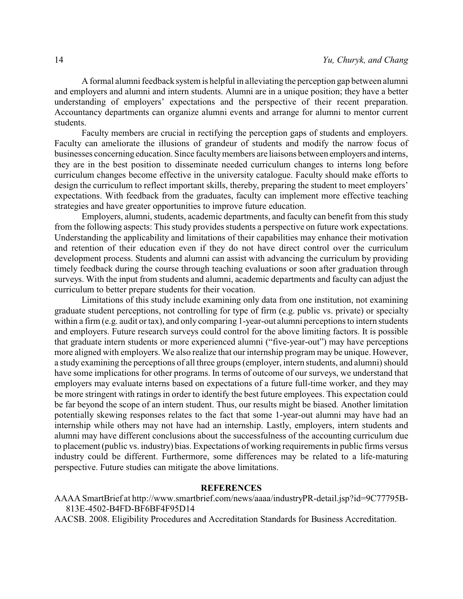A formal alumni feedback system is helpful in alleviating the perception gap between alumni and employers and alumni and intern students. Alumni are in a unique position; they have a better understanding of employers' expectations and the perspective of their recent preparation. Accountancy departments can organize alumni events and arrange for alumni to mentor current students.

Faculty members are crucial in rectifying the perception gaps of students and employers. Faculty can ameliorate the illusions of grandeur of students and modify the narrow focus of businesses concerning education. Since facultymembers are liaisons between employers and interns, they are in the best position to disseminate needed curriculum changes to interns long before curriculum changes become effective in the university catalogue. Faculty should make efforts to design the curriculum to reflect important skills, thereby, preparing the student to meet employers' expectations. With feedback from the graduates, faculty can implement more effective teaching strategies and have greater opportunities to improve future education.

Employers, alumni, students, academic departments, and faculty can benefit from this study from the following aspects: This study provides students a perspective on future work expectations. Understanding the applicability and limitations of their capabilities may enhance their motivation and retention of their education even if they do not have direct control over the curriculum development process. Students and alumni can assist with advancing the curriculum by providing timely feedback during the course through teaching evaluations or soon after graduation through surveys. With the input from students and alumni, academic departments and faculty can adjust the curriculum to better prepare students for their vocation.

Limitations of this study include examining only data from one institution, not examining graduate student perceptions, not controlling for type of firm (e.g. public vs. private) or specialty within a firm (e.g. audit or tax), and only comparing 1-year-out alumni perceptions to intern students and employers. Future research surveys could control for the above limiting factors. It is possible that graduate intern students or more experienced alumni ("five-year-out") may have perceptions more aligned with employers. We also realize that our internship program may be unique. However, a study examining the perceptions of all three groups (employer, intern students, and alumni) should have some implications for other programs. In terms of outcome of our surveys, we understand that employers may evaluate interns based on expectations of a future full-time worker, and they may be more stringent with ratings in order to identify the best future employees. This expectation could be far beyond the scope of an intern student. Thus, our results might be biased. Another limitation potentially skewing responses relates to the fact that some 1-year-out alumni may have had an internship while others may not have had an internship. Lastly, employers, intern students and alumni may have different conclusions about the successfulness of the accounting curriculum due to placement (public vs. industry) bias. Expectations of working requirements in public firms versus industry could be different. Furthermore, some differences may be related to a life-maturing perspective. Future studies can mitigate the above limitations.

## **REFERENCES**

AAAA SmartBrief at http://www.smartbrief.com/news/aaaa/industryPR-detail.jsp?id=9C77795B-813E-4502-B4FD-BF6BF4F95D14

AACSB. 2008. Eligibility Procedures and Accreditation Standards for Business Accreditation.